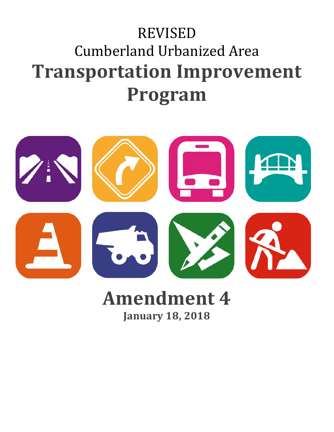# REVISED Cumberland Urbanized Area **Transportation Improvement Program**



## **Amendment 4 January 18, 2018**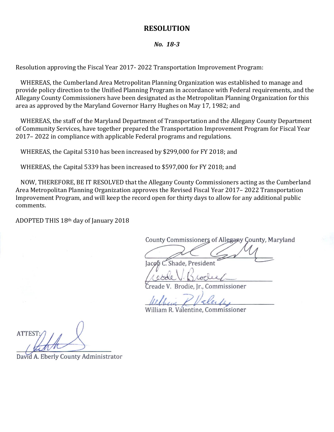#### **RESOLUTION**

#### *No. 18-3*

Resolution approving the Fiscal Year 2017- 2022 Transportation Improvement Program:

WHEREAS, the Cumberland Area Metropolitan Planning Organization was established to manage and provide policy direction to the Unified Planning Program in accordance with Federal requirements, and the Allegany County Commissioners have been designated as the Metropolitan Planning Organization for this area as approved by the Maryland Governor Harry Hughes on May 17, 1982; and

WHEREAS, the staff of the Maryland Department of Transportation and the Allegany County Department of Community Services, have together prepared the Transportation Improvement Program for Fiscal Year 2017– 2022 in compliance with applicable Federal programs and regulations.

WHEREAS, the Capital 5310 has been increased by \$299,000 for FY 2018; and

WHEREAS, the Capital 5339 has been increased to \$597,000 for FY 2018; and

NOW, THEREFORE, BE IT RESOLVED that the Allegany County Commissioners acting as the Cumberland Area Metropolitan Planning Organization approves the Revised Fiscal Year 2017– 2022 Transportation Improvement Program, and will keep the record open for thirty days to allow for any additional public comments.

ADOPTED THIS 18th day of January 2018

County Commissioners of Allegany County, Maryland

 $\angle$  at  $\angle$  M Jacob C. Shade, President

 $\frac{1}{100}$ 

V. Brodie, Jr., Commissioner

 $L_1L_2 = D L_1 L_2$ 

William R. Valentine, Commissioner

**ATTEST**  $\mu$ 

David A. Eberly County Administrator